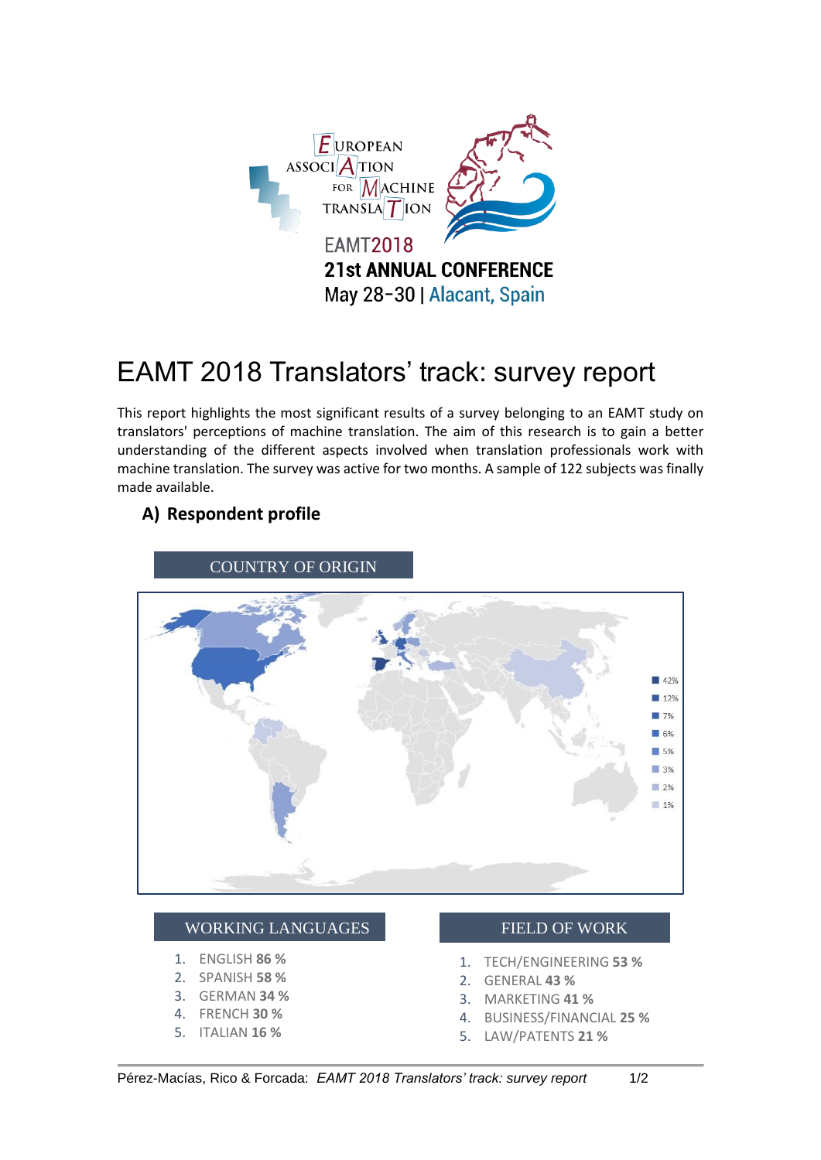

# EAMT 2018 Translators' track: survey report

This report highlights the most significant results of a survey belonging to an EAMT study on translators' perceptions of machine translation. The aim of this research is to gain a better understanding of the different aspects involved when translation professionals work with machine translation. The survey was active for two months. A sample of 122 subjects was finally made available.

# **A) Respondent profile**



## WORKING LANGUAGES

- 1. ENGLISH **86 %**
- 2. SPANISH **58 %**
- 3. GERMAN **34 %**
- 4. FRENCH **30 %**
- 5. ITALIAN **16 %**

#### FIELD OF WORK

- 1. TECH/ENGINEERING **53 %**
- 2. GENERAL **43 %**
- 3. MARKETING **41 %**
- 4. BUSINESS/FINANCIAL **25 %**
- 5. LAW/PATENTS **21 %**